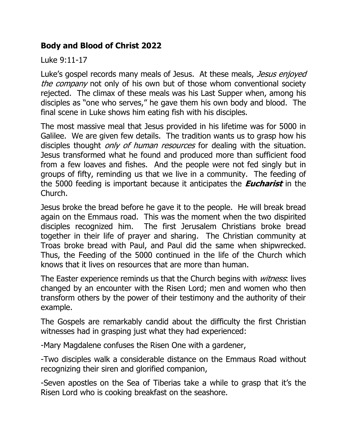## **Body and Blood of Christ 2022**

Luke 9:11-17

Luke's gospel records many meals of Jesus. At these meals, Jesus enjoyed the company not only of his own but of those whom conventional society rejected. The climax of these meals was his Last Supper when, among his disciples as "one who serves," he gave them his own body and blood. The final scene in Luke shows him eating fish with his disciples.

The most massive meal that Jesus provided in his lifetime was for 5000 in Galilee. We are given few details. The tradition wants us to grasp how his disciples thought *only of human resources* for dealing with the situation. Jesus transformed what he found and produced more than sufficient food from a few loaves and fishes. And the people were not fed singly but in groups of fifty, reminding us that we live in a community. The feeding of the 5000 feeding is important because it anticipates the **Eucharist** in the Church.

Jesus broke the bread before he gave it to the people. He will break bread again on the Emmaus road. This was the moment when the two dispirited disciples recognized him. The first Jerusalem Christians broke bread together in their life of prayer and sharing. The Christian community at Troas broke bread with Paul, and Paul did the same when shipwrecked. Thus, the Feeding of the 5000 continued in the life of the Church which knows that it lives on resources that are more than human.

The Easter experience reminds us that the Church begins with *witness*: lives changed by an encounter with the Risen Lord; men and women who then transform others by the power of their testimony and the authority of their example.

The Gospels are remarkably candid about the difficulty the first Christian witnesses had in grasping just what they had experienced:

-Mary Magdalene confuses the Risen One with a gardener,

-Two disciples walk a considerable distance on the Emmaus Road without recognizing their siren and glorified companion,

-Seven apostles on the Sea of Tiberias take a while to grasp that it's the Risen Lord who is cooking breakfast on the seashore.